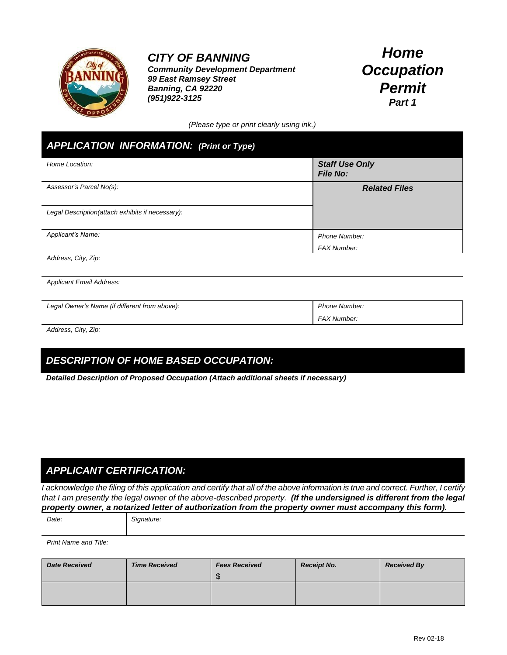

## *CITY OF BANNING*

*Community Development Department 99 East Ramsey Street Banning, CA 92220 (951)922-3125*

# *Home Occupation Permit Part 1*

*(Please type or print clearly using ink.)*

### *APPLICATION INFORMATION: (Print or Type)*

| Home Location:                                   | <b>Staff Use Only</b><br><b>File No:</b> |
|--------------------------------------------------|------------------------------------------|
| Assessor's Parcel No(s):                         | <b>Related Files</b>                     |
| Legal Description(attach exhibits if necessary): |                                          |
| Applicant's Name:                                | <b>Phone Number:</b>                     |
|                                                  | <b>FAX Number:</b>                       |

*Address, City, Zip:*

*Applicant Email Address:*

| Legal Owner's Name (if different from above): | Phone Number:      |
|-----------------------------------------------|--------------------|
|                                               | <b>FAX Number:</b> |

*Address, City, Zip:*

### *DESCRIPTION OF HOME BASED OCCUPATION:*

*Detailed Description of Proposed Occupation (Attach additional sheets if necessary)*

#### *APPLICANT CERTIFICATION:*

*I acknowledge the filing of this application and certify that all of the above information is true and correct. Further, I certify that I am presently the legal owner of the above-described property. (If the undersigned is different from the legal property owner, a notarized letter of authorization from the property owner must accompany this form).*

*Date: Signature:*

*Print Name and Title:*

| <b>Date Received</b> | <b>Time Received</b> | <b>Fees Received</b><br>ጥ<br>- JD | <b>Receipt No.</b> | <b>Received By</b> |
|----------------------|----------------------|-----------------------------------|--------------------|--------------------|
|                      |                      |                                   |                    |                    |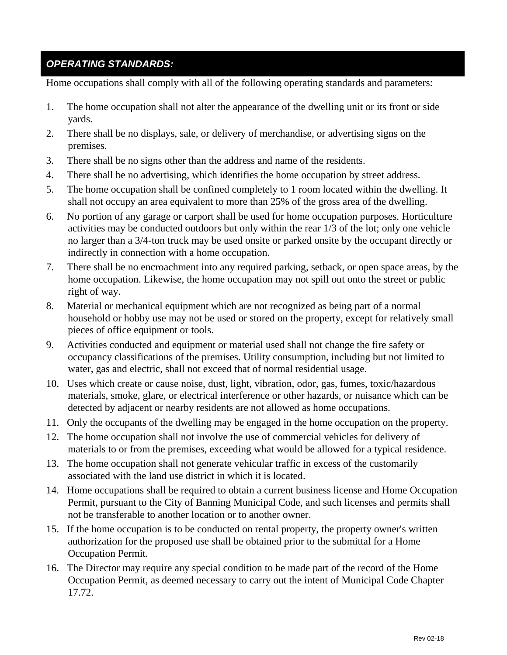#### *OPERATING STANDARDS:*

Home occupations shall comply with all of the following operating standards and parameters:

- 1. The home occupation shall not alter the appearance of the dwelling unit or its front or side yards.
- 2. There shall be no displays, sale, or delivery of merchandise, or advertising signs on the premises.
- 3. There shall be no signs other than the address and name of the residents.
- 4. There shall be no advertising, which identifies the home occupation by street address.
- 5. The home occupation shall be confined completely to 1 room located within the dwelling. It shall not occupy an area equivalent to more than 25% of the gross area of the dwelling.
- 6. No portion of any garage or carport shall be used for home occupation purposes. Horticulture activities may be conducted outdoors but only within the rear 1/3 of the lot; only one vehicle no larger than a 3/4-ton truck may be used onsite or parked onsite by the occupant directly or indirectly in connection with a home occupation.
- 7. There shall be no encroachment into any required parking, setback, or open space areas, by the home occupation. Likewise, the home occupation may not spill out onto the street or public right of way.
- 8. Material or mechanical equipment which are not recognized as being part of a normal household or hobby use may not be used or stored on the property, except for relatively small pieces of office equipment or tools.
- 9. Activities conducted and equipment or material used shall not change the fire safety or occupancy classifications of the premises. Utility consumption, including but not limited to water, gas and electric, shall not exceed that of normal residential usage.
- 10. Uses which create or cause noise, dust, light, vibration, odor, gas, fumes, toxic/hazardous materials, smoke, glare, or electrical interference or other hazards, or nuisance which can be detected by adjacent or nearby residents are not allowed as home occupations.
- 11. Only the occupants of the dwelling may be engaged in the home occupation on the property.
- 12. The home occupation shall not involve the use of commercial vehicles for delivery of materials to or from the premises, exceeding what would be allowed for a typical residence.
- 13. The home occupation shall not generate vehicular traffic in excess of the customarily associated with the land use district in which it is located.
- 14. Home occupations shall be required to obtain a current business license and Home Occupation Permit, pursuant to the City of Banning Municipal Code, and such licenses and permits shall not be transferable to another location or to another owner.
- 15. If the home occupation is to be conducted on rental property, the property owner's written authorization for the proposed use shall be obtained prior to the submittal for a Home Occupation Permit.
- 16. The Director may require any special condition to be made part of the record of the Home Occupation Permit, as deemed necessary to carry out the intent of Municipal Code Chapter 17.72.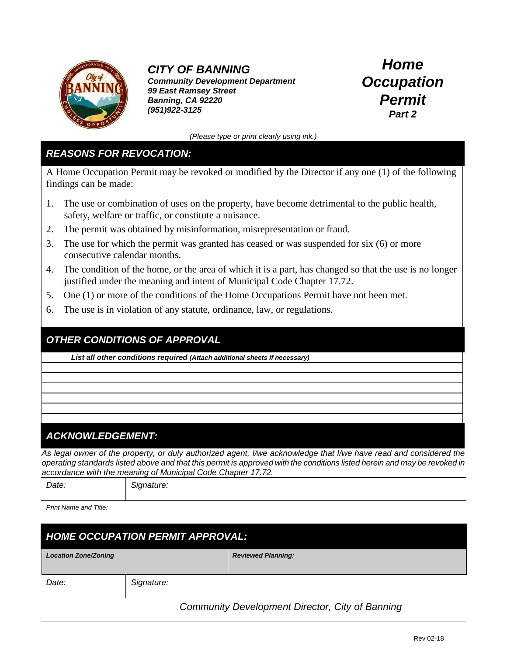

## *CITY OF BANNING*

*Community Development Department 99 East Ramsey Street Banning, CA 92220 (951)922-3125*

*Home Occupation Permit Part 2*

*(Please type or print clearly using ink.)*

#### *REASONS FOR REVOCATION:*

A Home Occupation Permit may be revoked or modified by the Director if any one (1) of the following findings can be made:

- 1. The use or combination of uses on the property, have become detrimental to the public health, safety, welfare or traffic, or constitute a nuisance.
- 2. The permit was obtained by misinformation, misrepresentation or fraud.
- 3. The use for which the permit was granted has ceased or was suspended for six (6) or more consecutive calendar months.
- 4. The condition of the home, or the area of which it is a part, has changed so that the use is no longer justified under the meaning and intent of Municipal Code Chapter 17.72.
- 5. One (1) or more of the conditions of the Home Occupations Permit have not been met.
- 6. The use is in violation of any statute, ordinance, law, or regulations.

### *OTHER CONDITIONS OF APPROVAL*

*List all other conditions required (Attach additional sheets if necessary)*

### *ACKNOWLEDGEMENT:*

*As legal owner of the property, or duly authorized agent, I/we acknowledge that I/we have read and considered the operating standards listed above and that this permit is approved with the conditions listed herein and may be revoked in accordance with the meaning of Municipal Code Chapter 17.72.*

| Signature:<br>Date: |
|---------------------|
|---------------------|

*Print Name and Title:*

| <b>HOME OCCUPATION PERMIT APPROVAL:</b> |            |                           |  |  |
|-----------------------------------------|------------|---------------------------|--|--|
| <b>Location Zone/Zoning</b>             |            | <b>Reviewed Planning:</b> |  |  |
| Date:                                   | Signature: |                           |  |  |

*Community Development Director, City of Banning*